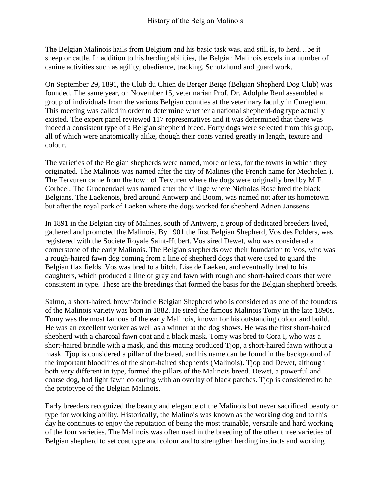The Belgian Malinois hails from Belgium and his basic task was, and still is, to herd…be it sheep or cattle. In addition to his herding abilities, the Belgian Malinois excels in a number of canine activities such as agility, obedience, tracking, Schutzhund and guard work.

On September 29, 1891, the Club du Chien de Berger Beige (Belgian Shepherd Dog Club) was founded. The same year, on November 15, veterinarian Prof. Dr. Adolphe Reul assembled a group of individuals from the various Belgian counties at the veterinary faculty in Cureghem. This meeting was called in order to determine whether a national shepherd-dog type actually existed. The expert panel reviewed 117 representatives and it was determined that there was indeed a consistent type of a Belgian shepherd breed. Forty dogs were selected from this group, all of which were anatomically alike, though their coats varied greatly in length, texture and colour.

The varieties of the Belgian shepherds were named, more or less, for the towns in which they originated. The Malinois was named after the city of Malines (the French name for Mechelen ). The Tervuren came from the town of Tervuren where the dogs were originally bred by M.F. Corbeel. The Groenendael was named after the village where Nicholas Rose bred the black Belgians. The Laekenois, bred around Antwerp and Boom, was named not after its hometown but after the royal park of Laeken where the dogs worked for shepherd Adrien Janssens.

In 1891 in the Belgian city of Malines, south of Antwerp, a group of dedicated breeders lived, gathered and promoted the Malinois. By 1901 the first Belgian Shepherd, Vos des Polders, was registered with the Societe Royale Saint-Hubert. Vos sired Dewet, who was considered a cornerstone of the early Malinois. The Belgian shepherds owe their foundation to Vos, who was a rough-haired fawn dog coming from a line of shepherd dogs that were used to guard the Belgian flax fields. Vos was bred to a bitch, Lise de Laeken, and eventually bred to his daughters, which produced a line of gray and fawn with rough and short-haired coats that were consistent in type. These are the breedings that formed the basis for the Belgian shepherd breeds.

Salmo, a short-haired, brown/brindle Belgian Shepherd who is considered as one of the founders of the Malinois variety was born in 1882. He sired the famous Malinois Tomy in the late 1890s. Tomy was the most famous of the early Malinois, known for his outstanding colour and build. He was an excellent worker as well as a winner at the dog shows. He was the first short-haired shepherd with a charcoal fawn coat and a black mask. Tomy was bred to Cora I, who was a short-haired brindle with a mask, and this mating produced Tjop, a short-haired fawn without a mask. Tjop is considered a pillar of the breed, and his name can be found in the background of the important bloodlines of the short-haired shepherds (Malinois). Tjop and Dewet, although both very different in type, formed the pillars of the Malinois breed. Dewet, a powerful and coarse dog, had light fawn colouring with an overlay of black patches. Tjop is considered to be the prototype of the Belgian Malinois.

Early breeders recognized the beauty and elegance of the Malinois but never sacrificed beauty or type for working ability. Historically, the Malinois was known as the working dog and to this day he continues to enjoy the reputation of being the most trainable, versatile and hard working of the four varieties. The Malinois was often used in the breeding of the other three varieties of Belgian shepherd to set coat type and colour and to strengthen herding instincts and working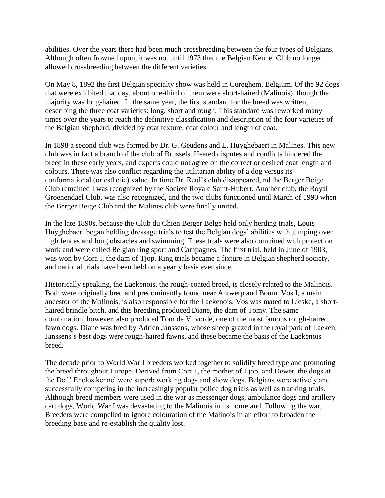abilities. Over the years there had been much crossbreeding between the four types of Belgians. Although often frowned upon, it was not until 1973 that the Belgian Kennel Club no longer allowed crossbreeding between the different varieties.

On May 8, 1892 the first Belgian specialty show was held in Cureghem, Belgium. Of the 92 dogs that were exhibited that day, about one-third of them were short-haired (Malinois), though the majority was long-haired. In the same year, the first standard for the breed was written, describing the three coat varieties: long, short and rough. This standard was reworked many times over the years to reach the definitive classification and description of the four varieties of the Belgian shepherd, divided by coat texture, coat colour and length of coat.

In 1898 a second club was formed by Dr. G. Geudens and L. Huyghebaert in Malines. This new club was in fact a branch of the club of Brussels. Heated disputes and conflicts hindered the breed in these early years, and experts could not agree on the correct or desired coat length and colours. There was also conflict regarding the utilitarian ability of a dog versus its conformational (or esthetic) value. In time Dr. Reul's club disappeared, nd the Berger Beige Club remained I was recognized by the Societe Royale Saint-Hubert. Another club, the Royal Groenendael Club, was also recognized, and the two clubs functioned until March of 1990 when the Berger Beige Club and the Malines club were finally united.

In the late 1890s, because the Club du Chien Berger Belge held only herding trials, Louis Huyghebaert began holding dressage trials to test the Belgian dogs' abilities with jumping over high fences and long obstacles and swimming. These trials were also combined with protection work and were called Belgian ring sport and Campagnes. The first trial, held in June of 1903, was won by Cora I, the dam of Tjop. Ring trials became a fixture in Belgian shepherd society, and national trials have been held on a yearly basis ever since.

Historically speaking, the Laekenois, the rough-coated breed, is closely related to the Malinois. Both were originally bred and predominantly found near Antwerp and Boom. Vos I, a main ancestor of the Malinois, is also responsible for the Laekenois. Vos was mated to Lieske, a shorthaired brindle bitch, and this breeding produced Diane, the dam of Tomy. The same combination, however, also produced Tom de Vilvorde, one of the most famous rough-haired fawn dogs. Diane was bred by Adrien Janssens, whose sheep grazed in the royal park of Laeken. Janssens's best dogs were rough-haired fawns, and these became the basis of the Laekenois breed.

The decade prior to World War I breeders worked together to solidify breed type and promoting the breed throughout Europe. Derived from Cora I, the mother of Tjop, and Dewet, the dogs at the De l' Enclos kennel were superb working dogs and show dogs. Belgians were actively and successfully competing in the increasingly popular police dog trials as well as tracking trials. Although breed members were used in the war as messenger dogs, ambulance dogs and artillery cart dogs, World War I was devastating to the Malinois in its homeland. Following the war, Breeders were compelled to ignore colouration of the Malinois in an effort to broaden the breeding base and re-establish the quality lost.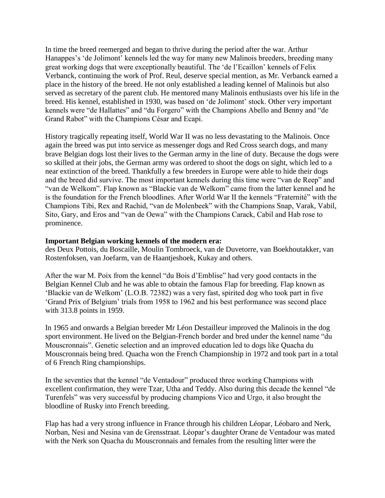In time the breed reemerged and began to thrive during the period after the war. Arthur Hanappes's 'de Jolimont' kennels led the way for many new Malinois breeders, breeding many great working dogs that were exceptionally beautiful. The 'de l'Ecaillon' kennels of Felix Verbanck, continuing the work of Prof. Reul, deserve special mention, as Mr. Verbanck earned a place in the history of the breed. He not only established a leading kennel of Malinois but also served as secretary of the parent club. He mentored many Malinois enthusiasts over his life in the breed. His kennel, established in 1930, was based on 'de Jolimont' stock. Other very important kennels were "de Hallattes" and "du Forgero" with the Champions Abello and Benny and "de Grand Rabot" with the Champions César and Ecapi.

History tragically repeating itself, World War II was no less devastating to the Malinois. Once again the breed was put into service as messenger dogs and Red Cross search dogs, and many brave Belgian dogs lost their lives to the German army in the line of duty. Because the dogs were so skilled at their jobs, the German army was ordered to shoot the dogs on sight, which led to a near extinction of the breed. Thankfully a few breeders in Europe were able to hide their dogs and the breed did survive. The most important kennels during this time were "van de Reep" and "van de Welkom". Flap known as "Blackie van de Welkom" came from the latter kennel and he is the foundation for the French bloodlines. After World War II the kennels "Fraternité" with the Champions Tibi, Rex and Rachid, "van de Molenbeek" with the Champions Snap, Varak, Vabil, Sito, Gary, and Eros and "van de Oewa" with the Champions Carack, Cabil and Hab rose to prominence.

## **Important Belgian working kennels of the modern era:**

des Deux Pottois, du Boscaille, Moulin Tombroeck, van de Duvetorre, van Boekhoutakker, van Rostenfoksen, van Joefarm, van de Haantjeshoek, Kukay and others.

After the war M. Poix from the kennel "du Bois d'Emblise" had very good contacts in the Belgian Kennel Club and he was able to obtain the famous Flap for breeding. Flap known as 'Blackie van de Welkom' (L.O.B. 72382) was a very fast, spirited dog who took part in five 'Grand Prix of Belgium' trials from 1958 to 1962 and his best performance was second place with 313.8 points in 1959.

In 1965 and onwards a Belgian breeder Mr Léon Destailleur improved the Malinois in the dog sport environment. He lived on the Belgian-French border and bred under the kennel name "du Mouscronnais". Genetic selection and an improved education led to dogs like Quacha du Mouscronnais being bred. Quacha won the French Championship in 1972 and took part in a total of 6 French Ring championships.

In the seventies that the kennel "de Ventadour" produced three working Champions with excellent confirmation, they were Tzar, Utha and Teddy. Also during this decade the kennel "de Turenfels" was very successful by producing champions Vico and Urgo, it also brought the bloodline of Rusky into French breeding.

Flap has had a very strong influence in France through his children Léopar, Léobaro and Nerk, Norban, Nesi and Nesina van de Grensstraat. Léopar's daughter Orane de Ventadour was mated with the Nerk son Quacha du Mouscronnais and females from the resulting litter were the